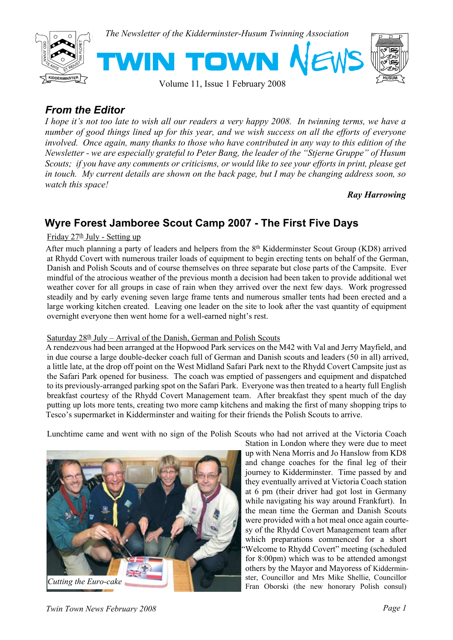

#### *From the Editor*

*I hope it's not too late to wish all our readers a very happy 2008. In twinning terms, we have a number of good things lined up for this year, and we wish success on all the efforts of everyone involved. Once again, many thanks to those who have contributed in any way to this edition of the Newsletter - we are especially grateful to Peter Bang, the leader of the "Stjerne Gruppe" of Husum Scouts; if you have any comments or criticisms, or would like to see your efforts in print, please get in touch. My current details are shown on the back page, but I may be changing address soon, so watch this space!*

*Ray Harrowing*

## **Wyre Forest Jamboree Scout Camp 2007 - The First Five Days**

#### Friday  $27<sup>th</sup>$  July - Setting up

After much planning a party of leaders and helpers from the 8<sup>th</sup> Kidderminster Scout Group (KD8) arrived at Rhydd Covert with numerous trailer loads of equipment to begin erecting tents on behalf of the German, Danish and Polish Scouts and of course themselves on three separate but close parts of the Campsite. Ever mindful of the atrocious weather of the previous month a decision had been taken to provide additional wet weather cover for all groups in case of rain when they arrived over the next few days. Work progressed steadily and by early evening seven large frame tents and numerous smaller tents had been erected and a large working kitchen created. Leaving one leader on the site to look after the vast quantity of equipment overnight everyone then went home for a well-earned night's rest.

#### Saturday  $28^{\underline{h}}$  July – Arrival of the Danish, German and Polish Scouts

A rendezvous had been arranged at the Hopwood Park services on the M42 with Val and Jerry Mayfield, and in due course a large double-decker coach full of German and Danish scouts and leaders (50 in all) arrived, a little late, at the drop off point on the West Midland Safari Park next to the Rhydd Covert Campsite just as the Safari Park opened for business. The coach was emptied of passengers and equipment and dispatched to its previously-arranged parking spot on the Safari Park. Everyone was then treated to a hearty full English breakfast courtesy of the Rhydd Covert Management team. After breakfast they spent much of the day putting up lots more tents, creating two more camp kitchens and making the first of many shopping trips to Tesco's supermarket in Kidderminster and waiting for their friends the Polish Scouts to arrive.

Lunchtime came and went with no sign of the Polish Scouts who had not arrived at the Victoria Coach



Station in London where they were due to meet up with Nena Morris and Jo Hanslow from KD8 and change coaches for the final leg of their journey to Kidderminster. Time passed by and they eventually arrived at Victoria Coach station at 6 pm (their driver had got lost in Germany while navigating his way around Frankfurt). In the mean time the German and Danish Scouts were provided with a hot meal once again courtesy of the Rhydd Covert Management team after which preparations commenced for a short Welcome to Rhydd Covert" meeting (scheduled for 8:00pm) which was to be attended amongst others by the Mayor and Mayoress of Kidderminster, Councillor and Mrs Mike Shellie, Councillor Fran Oborski (the new honorary Polish consul)

*Twin Town News February 2008 Page 1*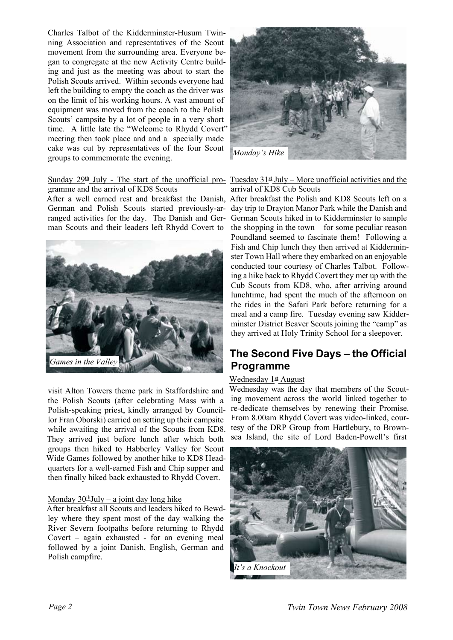Charles Talbot of the Kidderminster-Husum Twinning Association and representatives of the Scout movement from the surrounding area. Everyone began to congregate at the new Activity Centre building and just as the meeting was about to start the Polish Scouts arrived. Within seconds everyone had left the building to empty the coach as the driver was on the limit of his working hours. A vast amount of equipment was moved from the coach to the Polish Scouts' campsite by a lot of people in a very short time. A little late the "Welcome to Rhydd Covert" meeting then took place and and a specially made cake was cut by representatives of the four Scout groups to commemorate the evening.

# gramme and the arrival of KD8 Scouts

After a well earned rest and breakfast the Danish, After breakfast the Polish and KD8 Scouts left on a German and Polish Scouts started previously-ar-day trip to Drayton Manor Park while the Danish and ranged activities for the day. The Danish and Ger-German Scouts hiked in to Kidderminster to sample man Scouts and their leaders left Rhydd Covert to



visit Alton Towers theme park in Staffordshire and the Polish Scouts (after celebrating Mass with a Polish-speaking priest, kindly arranged by Councillor Fran Oborski) carried on setting up their campsite while awaiting the arrival of the Scouts from KD8. They arrived just before lunch after which both groups then hiked to Habberley Valley for Scout Wide Games followed by another hike to KD8 Headquarters for a well-earned Fish and Chip supper and then finally hiked back exhausted to Rhydd Covert.

#### Monday  $30<sup>th</sup>$ July – a joint day long hike

After breakfast all Scouts and leaders hiked to Bewdley where they spent most of the day walking the River Severn footpaths before returning to Rhydd Covert – again exhausted - for an evening meal followed by a joint Danish, English, German and Polish campfire.



Sunday  $29<sup>th</sup>$  July - The start of the unofficial pro- Tuesday  $31<sup>st</sup>$  July – More unofficial activities and the arrival of KD8 Cub Scouts

> the shopping in the town – for some peculiar reason Poundland seemed to fascinate them! Following a Fish and Chip lunch they then arrived at Kidderminster Town Hall where they embarked on an enjoyable conducted tour courtesy of Charles Talbot. Following a hike back to Rhydd Covert they met up with the Cub Scouts from KD8, who, after arriving around lunchtime, had spent the much of the afternoon on the rides in the Safari Park before returning for a meal and a camp fire. Tuesday evening saw Kidderminster District Beaver Scouts joining the "camp" as they arrived at Holy Trinity School for a sleepover.

## **The Second Five Days – the Official Programme**

#### Wednesday  $1$ <sup>st</sup> August

Wednesday was the day that members of the Scouting movement across the world linked together to re-dedicate themselves by renewing their Promise. From 8.00am Rhydd Covert was video-linked, courtesy of the DRP Group from Hartlebury, to Brownsea Island, the site of Lord Baden-Powell's first

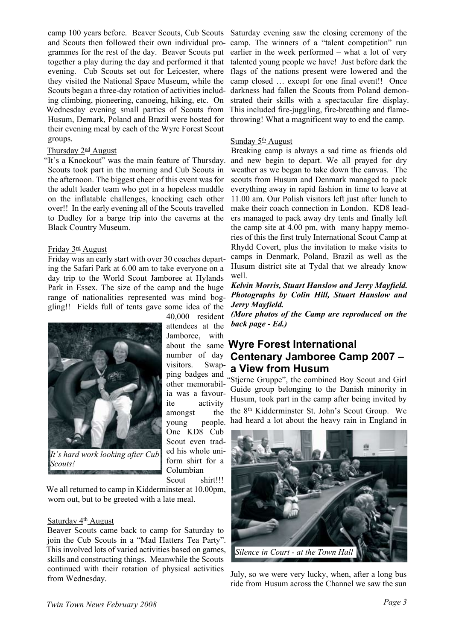camp 100 years before. Beaver Scouts, Cub Scouts Saturday evening saw the closing ceremony of the and Scouts then followed their own individual programmes for the rest of the day. Beaver Scouts put together a play during the day and performed it that evening. Cub Scouts set out for Leicester, where they visited the National Space Museum, while the Scouts began a three-day rotation of activities including climbing, pioneering, canoeing, hiking, etc. On Wednesday evening small parties of Scouts from Husum, Demark, Poland and Brazil were hosted for their evening meal by each of the Wyre Forest Scout groups.

#### Thursday 2<sup>nd</sup> August

"It's a Knockout" was the main feature of Thursday. Scouts took part in the morning and Cub Scouts in the afternoon. The biggest cheer of this event was for the adult leader team who got in a hopeless muddle on the inflatable challenges, knocking each other over!! In the early evening all of the Scouts travelled to Dudley for a barge trip into the caverns at the Black Country Museum.

#### Friday 3rd August

Friday was an early start with over 30 coaches departing the Safari Park at 6.00 am to take everyone on a day trip to the World Scout Jamboree at Hylands Park in Essex. The size of the camp and the huge range of nationalities represented was mind boggling!! Fields full of tents gave some idea of the



*It's hard work looking after Cub Scouts!*

40,000 resident attendees at the Jamboree, with visitors. Swapping badges and other memorabilia was a favourite activity amongst the young people. One KD8 Cub Scout even traded his whole uniform shirt for a Columbian Scout shirt!!!

We all returned to camp in Kidderminster at 10.00pm, worn out, but to be greeted with a late meal.

#### Saturday 4<sup>th</sup> August

Beaver Scouts came back to camp for Saturday to join the Cub Scouts in a "Mad Hatters Tea Party". This involved lots of varied activities based on games, skills and constructing things. Meanwhile the Scouts continued with their rotation of physical activities from Wednesday.

camp. The winners of a "talent competition" run earlier in the week performed – what a lot of very talented young people we have! Just before dark the flags of the nations present were lowered and the camp closed … except for one final event!! Once darkness had fallen the Scouts from Poland demonstrated their skills with a spectacular fire display. This included fire-juggling, fire-breathing and flamethrowing! What a magnificent way to end the camp.

#### Sunday  $5<sup>th</sup>$  August

Breaking camp is always a sad time as friends old and new begin to depart. We all prayed for dry weather as we began to take down the canvas. The scouts from Husum and Denmark managed to pack everything away in rapid fashion in time to leave at 11.00 am. Our Polish visitors left just after lunch to make their coach connection in London. KD8 leaders managed to pack away dry tents and finally left the camp site at 4.00 pm, with many happy memories of this the first truly International Scout Camp at Rhydd Covert, plus the invitation to make visits to camps in Denmark, Poland, Brazil as well as the Husum district site at Tydal that we already know well.

*Kelvin Morris, Stuart Hanslow and Jerry Mayfield. Photographs by Colin Hill, Stuart Hanslow and Jerry Mayfield.*

*(More photos of the Camp are reproduced on the back page - Ed.)*

#### about the same **Wyre Forest International** number of day **Centenary Jamboree Camp 2007 – a View from Husum**

"Stjerne Gruppe", the combined Boy Scout and Girl Guide group belonging to the Danish minority in Husum, took part in the camp after being invited by the 8th Kidderminster St. John's Scout Group. We had heard a lot about the heavy rain in England in



July, so we were very lucky, when, after a long bus ride from Husum across the Channel we saw the sun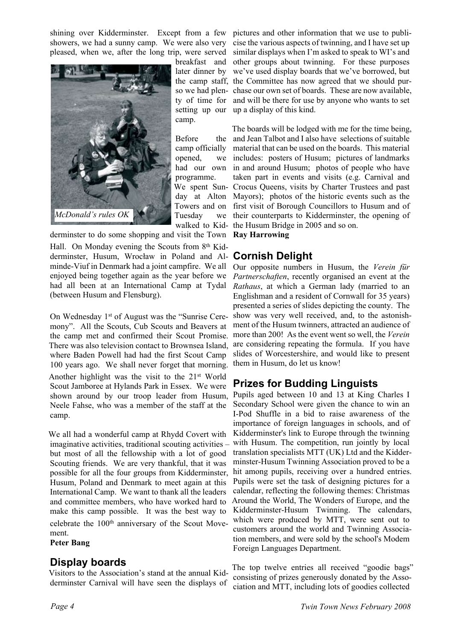

camp.

**Before** opened. programme. Tuesdav

derminster to do some shopping and visit the Town **Ray Harrowing**

Hall. On Monday evening the Scouts from 8<sup>th</sup> Kidderminster, Husum, Wrocław in Poland and Alminde-Viuf in Denmark had a joint campfire. We all enjoyed being together again as the year before we had all been at an International Camp at Tydal (between Husum and Flensburg).

On Wednesday 1st of August was the "Sunrise Ceremony". All the Scouts, Cub Scouts and Beavers at the camp met and confirmed their Scout Promise. There was also television contact to Brownsea Island, where Baden Powell had had the first Scout Camp 100 years ago. We shall never forget that morning. Another highlight was the visit to the 21st World Scout Jamboree at Hylands Park in Essex. We were shown around by our troop leader from Husum, Neele Fahse, who was a member of the staff at the camp.

We all had a wonderful camp at Rhydd Covert with imaginative activities, traditional scouting activities – but most of all the fellowship with a lot of good Scouting friends. We are very thankful, that it was possible for all the four groups from Kidderminster, Husum, Poland and Denmark to meet again at this International Camp. We want to thank all the leaders and committee members, who have worked hard to make this camp possible. It was the best way to celebrate the 100<sup>th</sup> anniversary of the Scout Movement.

**Peter Bang**

## **Display boards**

Visitors to the Association's stand at the annual Kidderminster Carnival will have seen the displays of

shining over Kidderminster. Except from a few pictures and other information that we use to publishowers, we had a sunny camp. We were also very cise the various aspects of twinning, and I have set up pleased, when we, after the long trip, were served similar displays when I'm asked to speak to WI's and breakfast and other groups about twinning. For these purposes later dinner by we've used display boards that we've borrowed, but the camp staff, the Committee has now agreed that we should purso we had plen-chase our own set of boards. These are now available, ty of time for and will be there for use by anyone who wants to set setting up our up a display of this kind.

> camp officially material that can be used on the boards. This material had our own in and around Husum; photos of people who have We spent Sun-Crocus Queens, visits by Charter Trustees and past day at Alton Mayors); photos of the historic events such as the Towers and on first visit of Borough Councillors to Husum and of walked to Kid-the Husum Bridge in 2005 and so on. The boards will be lodged with me for the time being, and Jean Talbot and I also have selections of suitable we includes: posters of Husum; pictures of landmarks taken part in events and visits (e.g. Carnival and we their counterparts to Kidderminster, the opening of

## **Cornish Delight**

Our opposite numbers in Husum, the *Verein für Partnerschaften*, recently organised an event at the *Rathaus*, at which a German lady (married to an Englishman and a resident of Cornwall for 35 years) presented a series of slides depicting the county. The show was very well received, and, to the astonishment of the Husum twinners, attracted an audience of more than 200! As the event went so well, the *Verein* are considering repeating the formula. If you have slides of Worcestershire, and would like to present them in Husum, do let us know!

## **Prizes for Budding Linguists**

Pupils aged between 10 and 13 at King Charles I Secondary School were given the chance to win an I-Pod Shuffle in a bid to raise awareness of the importance of foreign languages in schools, and of Kidderminster's link to Europe through the twinning with Husum. The competition, run jointly by local translation specialists MTT (UK) Ltd and the Kidderminster-Husum Twinning Association proved to be a hit among pupils, receiving over a hundred entries. Pupils were set the task of designing pictures for a calendar, reflecting the following themes: Christmas Around the World, The Wonders of Europe, and the Kidderminster-Husum Twinning. The calendars, which were produced by MTT, were sent out to customers around the world and Twinning Association members, and were sold by the school's Modem Foreign Languages Department.

The top twelve entries all received "goodie bags" consisting of prizes generously donated by the Association and MTT, including lots of goodies collected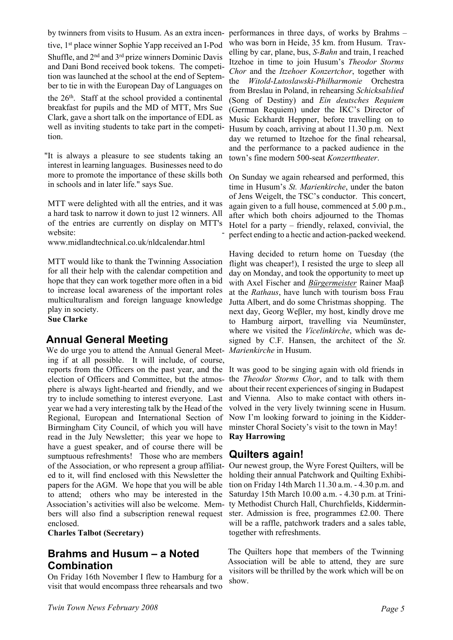by twinners from visits to Husum. As an extra incen-performances in three days, of works by Brahms – tive, 1st place winner Sophie Yapp received an I-Pod Shuffle, and 2nd and 3rd prize winners Dominic Davis and Dani Bond received book tokens. The competition was launched at the school at the end of September to tie in with the European Day of Languages on the 26th. Staff at the school provided a continental breakfast for pupils and the MD of MTT, Mrs Sue Clark, gave a short talk on the importance of EDL as well as inviting students to take part in the competition.

"It is always a pleasure to see students taking an interest in learning languages. Businesses need to do more to promote the importance of these skills both in schools and in later life." says Sue.

MTT were delighted with all the entries, and it was a hard task to narrow it down to just 12 winners. All of the entries are currently on display on MTT's website<sup>.</sup>

www.midlandtechnical.co.uk/nldcalendar.html

MTT would like to thank the Twinning Association for all their help with the calendar competition and hope that they can work together more often in a bid to increase local awareness of the important roles multiculturalism and foreign language knowledge play in society.

**Sue Clarke**

## **Annual General Meeting**

We do urge you to attend the Annual General Meeting if at all possible. It will include, of course, reports from the Officers on the past year, and the It was good to be singing again with old friends in election of Officers and Committee, but the atmosphere is always light-hearted and friendly, and we try to include something to interest everyone. Last year we had a very interesting talk by the Head of the Regional, European and International Section of Birmingham City Council, of which you will have read in the July Newsletter; this year we hope to have a guest speaker, and of course there will be sumptuous refreshments! Those who are members of the Association, or who represent a group affiliated to it, will find enclosed with this Newsletter the papers for the AGM. We hope that you will be able to attend; others who may be interested in the Association's activities will also be welcome. Members will also find a subscription renewal request enclosed.

**Charles Talbot (Secretary)**

## **Brahms and Husum – a Noted Combination**

On Friday 16th November I flew to Hamburg for a visit that would encompass three rehearsals and two

who was born in Heide, 35 km. from Husum. Travelling by car, plane, bus, *S-Bahn* and train, I reached Itzehoe in time to join Husum's *Theodor Storms Chor* and the *Itzehoer Konzertchor*, together with the *Witold-Lutoslawski-Philharmonie* Orchestra from Breslau in Poland, in rehearsing *Schicksalslied* (Song of Destiny) and *Ein deutsches Requiem* (German Requiem) under the IKC's Director of Music Eckhardt Heppner, before travelling on to Husum by coach, arriving at about 11.30 p.m. Next day we returned to Itzehoe for the final rehearsal, and the performance to a packed audience in the town's fine modern 500-seat *Konzerttheater*.

On Sunday we again rehearsed and performed, this time in Husum's *St. Marienkirche*, under the baton of Jens Weigelt, the TSC's conductor. This concert, again given to a full house, commenced at 5.00 p.m., after which both choirs adjourned to the Thomas Hotel for a party – friendly, relaxed, convivial, the perfect ending to a hectic and action-packed weekend.

Having decided to return home on Tuesday (the flight was cheaper!), I resisted the urge to sleep all day on Monday, and took the opportunity to meet up with Axel Fischer and *Bürgermeister* Rainer Maaß at the *Rathaus*, have lunch with tourism boss Frau Jutta Albert, and do some Christmas shopping. The next day, Georg Weβler, my host, kindly drove me to Hamburg airport, travelling via Neumünster, where we visited the *Vicelinkirche*, which was designed by C.F. Hansen, the architect of the *St. Marienkirche* in Husum.

the *Theodor Storms Chor*, and to talk with them about their recent experiences of singing in Budapest and Vienna. Also to make contact with others involved in the very lively twinning scene in Husum. Now I'm looking forward to joining in the Kidderminster Choral Society's visit to the town in May! **Ray Harrowing**

#### **Quilters again!**

Our newest group, the Wyre Forest Quilters, will be holding their annual Patchwork and Quilting Exhibition on Friday 14th March 11.30 a.m. - 4.30 p.m. and Saturday 15th March 10.00 a.m. - 4.30 p.m. at Trinity Methodist Church Hall, Churchfields, Kidderminster. Admission is free, programmes £2.00. There will be a raffle, patchwork traders and a sales table, together with refreshments.

The Quilters hope that members of the Twinning Association will be able to attend, they are sure visitors will be thrilled by the work which will be on show.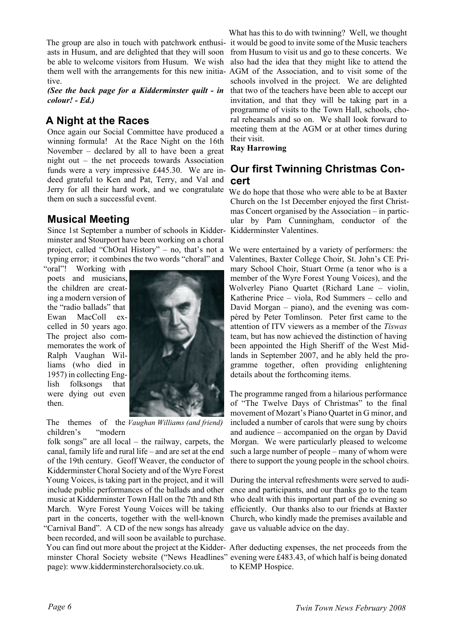The group are also in touch with patchwork enthusi-it would be good to invite some of the Music teachers asts in Husum, and are delighted that they will soon be able to welcome visitors from Husum. We wish them well with the arrangements for this new initia-AGM of the Association, and to visit some of the tive.

*(See the back page for a Kidderminster quilt - in* **that two of the teachers have been able to accept our** *colour! - Ed.)*

#### **A Night at the Races**

Once again our Social Committee have produced a winning formula! At the Race Night on the 16th November – declared by all to have been a great night out – the net proceeds towards Association funds were a very impressive £445.30. We are indeed grateful to Ken and Pat, Terry, and Val and Jerry for all their hard work, and we congratulate We do hope that those who were able to be at Baxter them on such a successful event.

#### **Musical Meeting**

Since 1st September a number of schools in Kidderminster and Stourport have been working on a choral project, called "ChOral History" – no, that's not a We were entertained by a variety of performers: the typing error; it combines the two words "choral" and

"oral"! Working with poets and musicians, the children are creating a modern version of the "radio ballads" that Ewan MacColl excelled in 50 years ago. The project also commemorates the work of Ralph Vaughan Williams (who died in 1957) in collecting English folksongs that were dying out even then.



The themes of the *Vaughan Williams (and friend)*children's "modern

folk songs" are all local – the railway, carpets, the canal, family life and rural life – and are set at the end of the 19th century. Geoff Weaver, the conductor of Kidderminster Choral Society and of the Wyre Forest Young Voices, is taking part in the project, and it will include public performances of the ballads and other music at Kidderminster Town Hall on the 7th and 8th March. Wyre Forest Young Voices will be taking part in the concerts, together with the well-known "Carnival Band". A CD of the new songs has already been recorded, and will soon be available to purchase. You can find out more about the project at the Kidder-After deducting expenses, the net proceeds from the minster Choral Society website ("News Headlines" evening were £483.43, of which half is being donated page): www.kidderminsterchoralsociety.co.uk.

What has this to do with twinning? Well, we thought from Husum to visit us and go to these concerts. We also had the idea that they might like to attend the schools involved in the project. We are delighted invitation, and that they will be taking part in a programme of visits to the Town Hall, schools, choral rehearsals and so on. We shall look forward to meeting them at the AGM or at other times during their visit.

**Ray Harrowing**

## **Our first Twinning Christmas Concert**

Church on the 1st December enjoyed the first Christmas Concert organised by the Association – in particular by Pam Cunningham, conductor of the Kidderminster Valentines.

Valentines, Baxter College Choir, St. John's CE Primary School Choir, Stuart Orme (a tenor who is a member of the Wyre Forest Young Voices), and the Wolverley Piano Quartet (Richard Lane – violin, Katherine Price – viola, Rod Summers – cello and David Morgan – piano), and the evening was compèred by Peter Tomlinson. Peter first came to the attention of ITV viewers as a member of the *Tiswas* team, but has now achieved the distinction of having been appointed the High Sheriff of the West Midlands in September 2007, and he ably held the programme together, often providing enlightening details about the forthcoming items.

The programme ranged from a hilarious performance of "The Twelve Days of Christmas" to the final movement of Mozart's Piano Quartet in G minor, and included a number of carols that were sung by choirs and audience – accompanied on the organ by David Morgan. We were particularly pleased to welcome such a large number of people – many of whom were there to support the young people in the school choirs.

During the interval refreshments were served to audience and participants, and our thanks go to the team who dealt with this important part of the evening so efficiently. Our thanks also to our friends at Baxter Church, who kindly made the premises available and gave us valuable advice on the day.

to KEMP Hospice.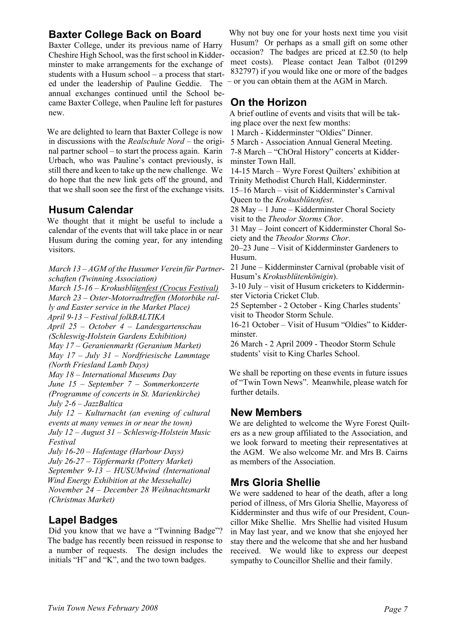#### **Baxter College Back on Board**

Baxter College, under its previous name of Harry Cheshire High School, was the first school in Kidderminster to make arrangements for the exchange of students with a Husum school – a process that started under the leadership of Pauline Geddie. The annual exchanges continued until the School became Baxter College, when Pauline left for pastures new.

We are delighted to learn that Baxter College is now in discussions with the *Realschule Nord* – the original partner school – to start the process again. Karin Urbach, who was Pauline's contact previously, is still there and keen to take up the new challenge. We do hope that the new link gets off the ground, and that we shall soon see the first of the exchange visits.

## **Husum Calendar**

We thought that it might be useful to include a calendar of the events that will take place in or near Husum during the coming year, for any intending visitors.

*March 13 – AGM of the Husumer Verein für Partnerschaften (Twinning Association) March 15-16 – Krokusblütenfest (Crocus Festival) March 23 – Oster-Motorradtreffen (Motorbike rally and Easter service in the Market Place) April 9-13 – Festival folkBALTIKA April 25 – October 4 – Landesgartenschau (Schleswig-Holstein Gardens Exhibition) May 17 – Geranienmarkt (Geranium Market) May 17 – July 31 – Nordfriesische Lammtage (North Friesland Lamb Days) May 18 – International Museums Day June 15 – September 7 – Sommerkonzerte (Programme of concerts in St. Marienkirche) July 2-6 – JazzBaltica July 12 – Kulturnacht (an evening of cultural events at many venues in or near the town) July 12 – August 31 – Schleswig-Holstein Music Festival July 16-20 – Hafentage (Harbour Days) July 26-27 – Töpfermarkt (Pottery Market) September 9-13 – HUSUMwind (International Wind Energy Exhibition at the Messehalle) November 24 – December 28 Weihnachtsmarkt (Christmas Market)*

## **Lapel Badges**

Did you know that we have a "Twinning Badge"? The badge has recently been reissued in response to a number of requests. The design includes the initials "H" and "K", and the two town badges.

Why not buy one for your hosts next time you visit Husum? Or perhaps as a small gift on some other occasion? The badges are priced at £2.50 (to help meet costs). Please contact Jean Talbot (01299 832797) if you would like one or more of the badges – or you can obtain them at the AGM in March.

## **On the Horizon**

A brief outline of events and visits that will be taking place over the next few months:

1 March - Kidderminster "Oldies" Dinner.

5 March - Association Annual General Meeting.

7-8 March – "ChOral History" concerts at Kidderminster Town Hall.

14-15 March – Wyre Forest Quilters' exhibition at Trinity Methodist Church Hall, Kidderminster.

15–16 March – visit of Kidderminster's Carnival Queen to the *Krokusblütenfest*.

28 May – 1 June – Kidderminster Choral Society visit to the *Theodor Storms Chor*.

31 May – Joint concert of Kidderminster Choral Society and the *Theodor Storms Chor*.

20–23 June – Visit of Kidderminster Gardeners to Husum.

21 June – Kidderminster Carnival (probable visit of Husum's *Krokusblütenkönigin*).

3-10 July – visit of Husum cricketers to Kidderminster Victoria Cricket Club.

25 September - 2 October - King Charles students' visit to Theodor Storm Schule.

16-21 October – Visit of Husum "Oldies" to Kidderminster.

26 March - 2 April 2009 - Theodor Storm Schule students' visit to King Charles School.

We shall be reporting on these events in future issues of "Twin Town News". Meanwhile, please watch for further details.

#### **New Members**

We are delighted to welcome the Wyre Forest Quilters as a new group affiliated to the Association, and we look forward to meeting their representatives at the AGM. We also welcome Mr. and Mrs B. Cairns as members of the Association.

## **Mrs Gloria Shellie**

We were saddened to hear of the death, after a long period of illness, of Mrs Gloria Shellie, Mayoress of Kidderminster and thus wife of our President, Councillor Mike Shellie. Mrs Shellie had visited Husum in May last year, and we know that she enjoyed her stay there and the welcome that she and her husband received. We would like to express our deepest sympathy to Councillor Shellie and their family.